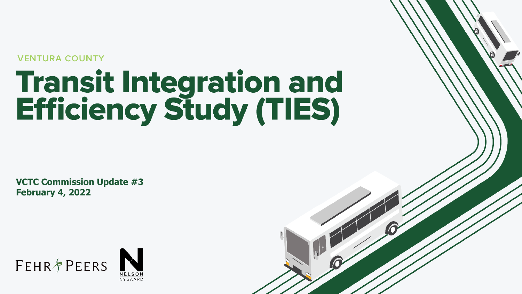**VENTURA COUNTY** 

# **Transit Integration and<br>Efficiency Study (TIES)**

**VCTC Commission Update #3 February 4, 2022**





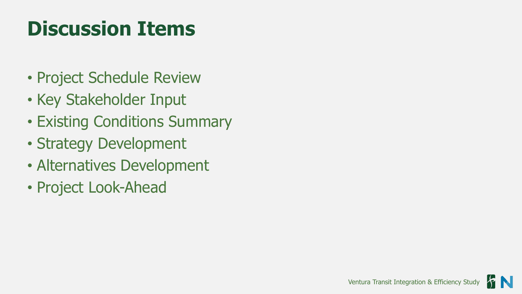#### **Discussion Items**

- Project Schedule Review
- Key Stakeholder Input
- Existing Conditions Summary
- Strategy Development
- Alternatives Development
- Project Look-Ahead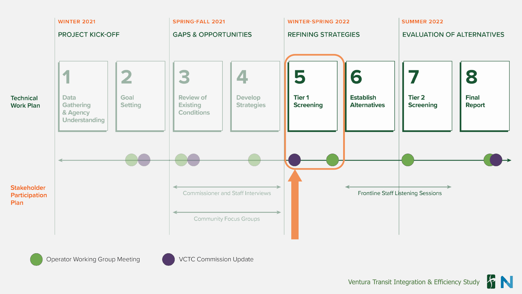

FN Ventura Transit Integration & Efficiency Study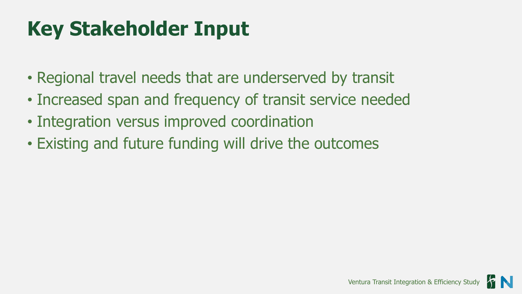#### **Key Stakeholder Input**

- Regional travel needs that are underserved by transit
- Increased span and frequency of transit service needed
- Integration versus improved coordination
- Existing and future funding will drive the outcomes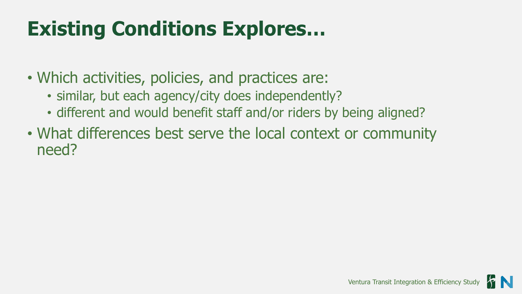#### **Existing Conditions Explores…**

- Which activities, policies, and practices are:
	- similar, but each agency/city does independently?
	- different and would benefit staff and/or riders by being aligned?
- What differences best serve the local context or community need?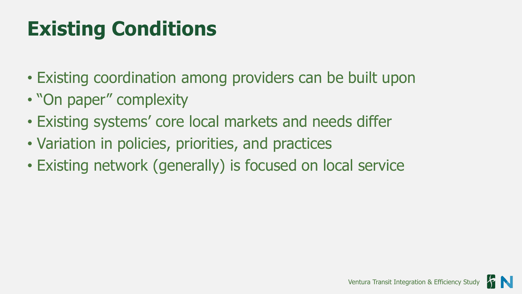#### **Existing Conditions**

- Existing coordination among providers can be built upon
- "On paper" complexity
- Existing systems' core local markets and needs differ
- Variation in policies, priorities, and practices
- Existing network (generally) is focused on local service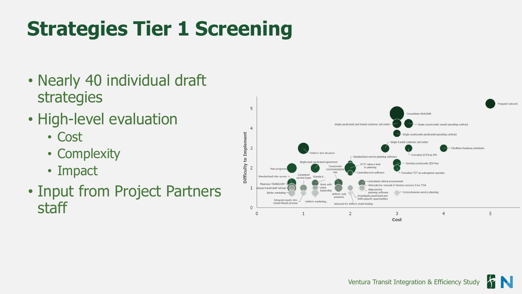### **Strategies Tier 1 Screening**

- Nearly 40 individual draft strategies
- High-level evaluation
	- Cost
	- Complexity
	- Impact
- Input from Project Partners staff

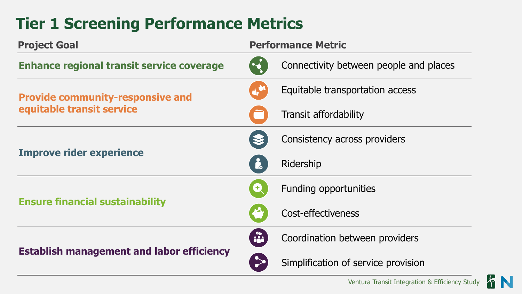#### **Tier 1 Screening Performance Metrics**

| <b>Project Goal</b>                                                  | <b>Performance Metric</b> |                                        |
|----------------------------------------------------------------------|---------------------------|----------------------------------------|
| <b>Enhance regional transit service coverage</b>                     |                           | Connectivity between people and places |
| <b>Provide community-responsive and</b><br>equitable transit service |                           | Equitable transportation access        |
|                                                                      |                           | <b>Transit affordability</b>           |
| <b>Improve rider experience</b>                                      |                           | Consistency across providers           |
|                                                                      | i.                        | Ridership                              |
| <b>Ensure financial sustainability</b>                               |                           | Funding opportunities                  |
|                                                                      |                           | Cost-effectiveness                     |
| <b>Establish management and labor efficiency</b>                     | $\mathbf{a}$              | Coordination between providers         |
|                                                                      |                           | Simplification of service provision    |

FN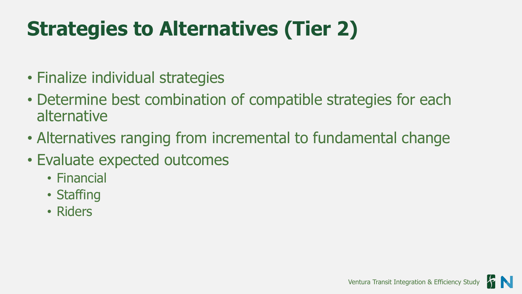### **Strategies to Alternatives (Tier 2)**

- Finalize individual strategies
- Determine best combination of compatible strategies for each alternative
- Alternatives ranging from incremental to fundamental change
- Evaluate expected outcomes
	- Financial
	- Staffing
	- Riders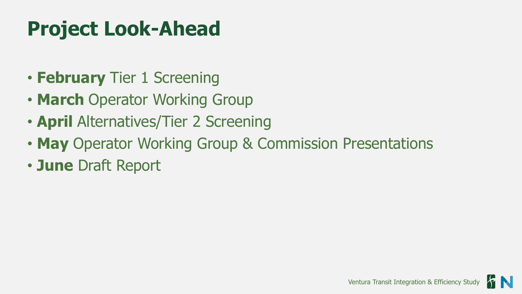#### **Project Look-Ahead**

- **February** Tier 1 Screening
- **March** Operator Working Group
- **April** Alternatives/Tier 2 Screening
- **May** Operator Working Group & Commission Presentations
- **June** Draft Report